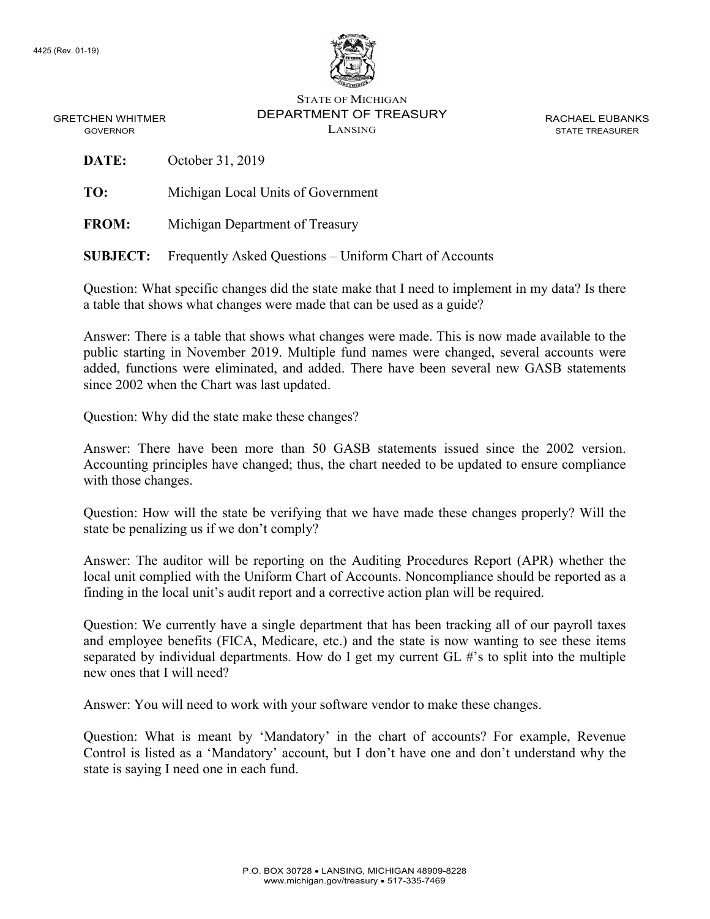

STATE OF MICHIGAN DEPARTMENT OF TREASURY LANSING

RACHAEL EUBANKS STATE TREASURER

GRETCHEN WHITMER GOVERNOR

**DATE:** October 31, 2019

**TO:** Michigan Local Units of Government

**FROM:** Michigan Department of Treasury

**SUBJECT:** Frequently Asked Questions – Uniform Chart of Accounts

Question: What specific changes did the state make that I need to implement in my data? Is there a table that shows what changes were made that can be used as a guide?

Answer: There is a table that shows what changes were made. This is now made available to the public starting in November 2019. Multiple fund names were changed, several accounts were added, functions were eliminated, and added. There have been several new GASB statements since 2002 when the Chart was last updated.

Question: Why did the state make these changes?

Answer: There have been more than 50 GASB statements issued since the 2002 version. Accounting principles have changed; thus, the chart needed to be updated to ensure compliance with those changes.

Question: How will the state be verifying that we have made these changes properly? Will the state be penalizing us if we don't comply?

Answer: The auditor will be reporting on the Auditing Procedures Report (APR) whether the local unit complied with the Uniform Chart of Accounts. Noncompliance should be reported as a finding in the local unit's audit report and a corrective action plan will be required.

Question: We currently have a single department that has been tracking all of our payroll taxes and employee benefits (FICA, Medicare, etc.) and the state is now wanting to see these items separated by individual departments. How do I get my current GL #'s to split into the multiple new ones that I will need?

Answer: You will need to work with your software vendor to make these changes.

Question: What is meant by 'Mandatory' in the chart of accounts? For example, Revenue Control is listed as a 'Mandatory' account, but I don't have one and don't understand why the state is saying I need one in each fund.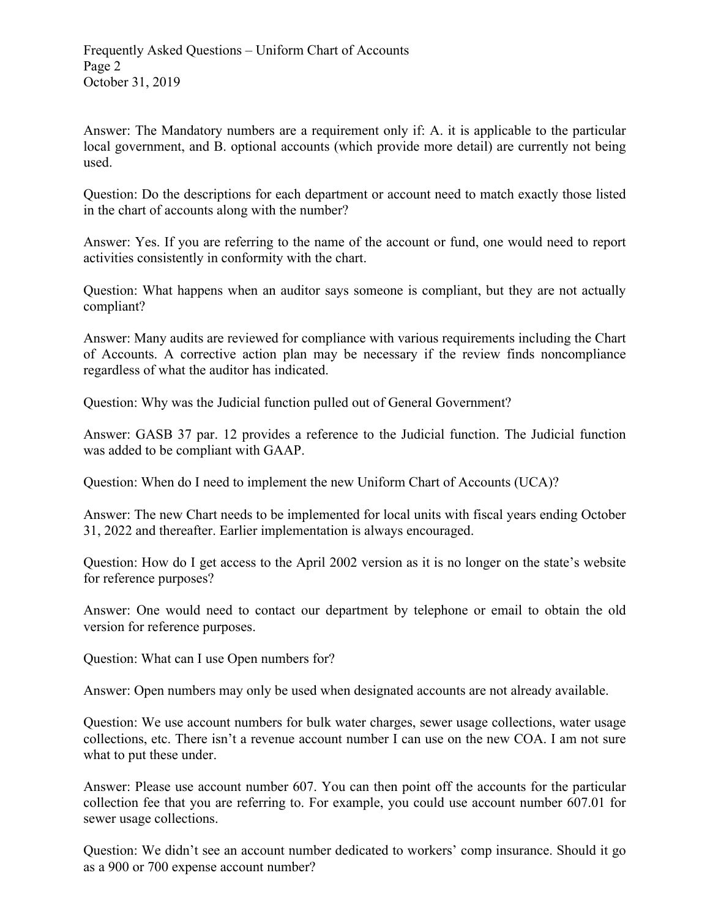Answer: The Mandatory numbers are a requirement only if: A. it is applicable to the particular local government, and B. optional accounts (which provide more detail) are currently not being used.

Question: Do the descriptions for each department or account need to match exactly those listed in the chart of accounts along with the number?

Answer: Yes. If you are referring to the name of the account or fund, one would need to report activities consistently in conformity with the chart.

Question: What happens when an auditor says someone is compliant, but they are not actually compliant?

Answer: Many audits are reviewed for compliance with various requirements including the Chart of Accounts. A corrective action plan may be necessary if the review finds noncompliance regardless of what the auditor has indicated.

Question: Why was the Judicial function pulled out of General Government?

Answer: GASB 37 par. 12 provides a reference to the Judicial function. The Judicial function was added to be compliant with GAAP.

Question: When do I need to implement the new Uniform Chart of Accounts (UCA)?

Answer: The new Chart needs to be implemented for local units with fiscal years ending October 31, 2022 and thereafter. Earlier implementation is always encouraged.

Question: How do I get access to the April 2002 version as it is no longer on the state's website for reference purposes?

Answer: One would need to contact our department by telephone or email to obtain the old version for reference purposes.

Question: What can I use Open numbers for?

Answer: Open numbers may only be used when designated accounts are not already available.

Question: We use account numbers for bulk water charges, sewer usage collections, water usage collections, etc. There isn't a revenue account number I can use on the new COA. I am not sure what to put these under.

Answer: Please use account number 607. You can then point off the accounts for the particular collection fee that you are referring to. For example, you could use account number 607.01 for sewer usage collections.

Question: We didn't see an account number dedicated to workers' comp insurance. Should it go as a 900 or 700 expense account number?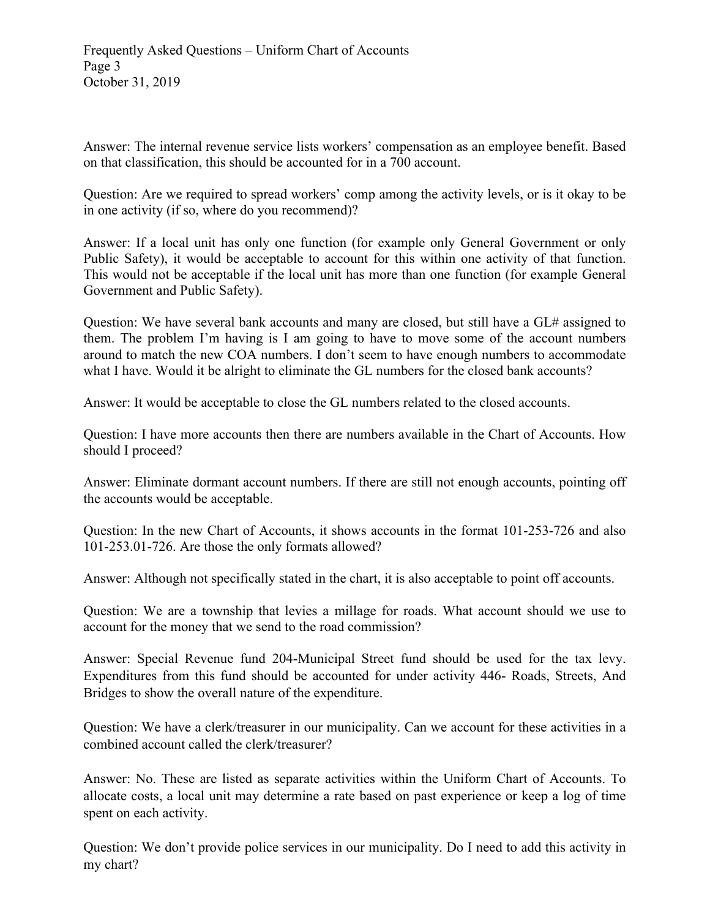Answer: The internal revenue service lists workers' compensation as an employee benefit. Based on that classification, this should be accounted for in a 700 account.

Question: Are we required to spread workers' comp among the activity levels, or is it okay to be in one activity (if so, where do you recommend)?

Answer: If a local unit has only one function (for example only General Government or only Public Safety), it would be acceptable to account for this within one activity of that function. This would not be acceptable if the local unit has more than one function (for example General Government and Public Safety).

Question: We have several bank accounts and many are closed, but still have a GL# assigned to them. The problem I'm having is I am going to have to move some of the account numbers around to match the new COA numbers. I don't seem to have enough numbers to accommodate what I have. Would it be alright to eliminate the GL numbers for the closed bank accounts?

Answer: It would be acceptable to close the GL numbers related to the closed accounts.

Question: I have more accounts then there are numbers available in the Chart of Accounts. How should I proceed?

Answer: Eliminate dormant account numbers. If there are still not enough accounts, pointing off the accounts would be acceptable.

Question: In the new Chart of Accounts, it shows accounts in the format 101-253-726 and also 101-253.01-726. Are those the only formats allowed?

Answer: Although not specifically stated in the chart, it is also acceptable to point off accounts.

Question: We are a township that levies a millage for roads. What account should we use to account for the money that we send to the road commission?

Answer: Special Revenue fund 204-Municipal Street fund should be used for the tax levy. Expenditures from this fund should be accounted for under activity 446- Roads, Streets, And Bridges to show the overall nature of the expenditure.

Question: We have a clerk/treasurer in our municipality. Can we account for these activities in a combined account called the clerk/treasurer?

Answer: No. These are listed as separate activities within the Uniform Chart of Accounts. To allocate costs, a local unit may determine a rate based on past experience or keep a log of time spent on each activity.

Question: We don't provide police services in our municipality. Do I need to add this activity in my chart?